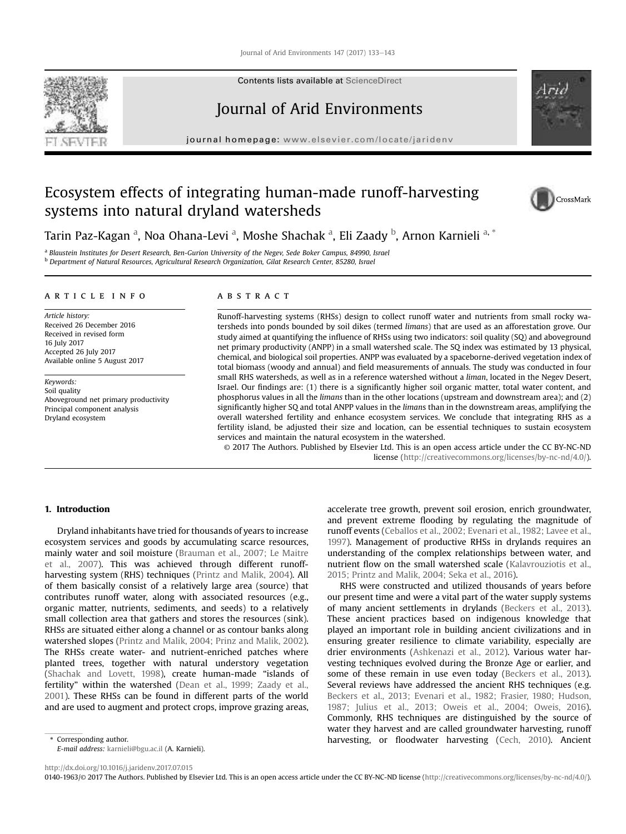Contents lists available at ScienceDirect

# Journal of Arid Environments

journal homepage: www.elsevier.com/locate/jaridenv

# Ecosystem effects of integrating human-made runoff-harvesting systems into natural dryland watersheds



Tarin Paz-Kagan <sup>a</sup>, Noa Ohana-Levi <sup>a</sup>, Moshe Shachak <sup>a</sup>, Eli Zaady <sup>b</sup>, Arnon Karnieli <sup>a, \*</sup>

a *Blaustein Institutes for Desert Research, Ben-Gurion University of the Negev, Sede Boker Campus, 84990, Israel* <sup>b</sup> *Department of Natural Resources, Agricultural Research Organization, Gilat Research Center, 85280, Israel*

#### article info

*Article history:* Received 26 December 2016 Received in revised form 16 July 2017 Accepted 26 July 2017 Available online 5 August 2017

*Keywords:* Soil quality Aboveground net primary productivity Principal component analysis Dryland ecosystem

# ABSTRACT

Runoff-harvesting systems (RHSs) design to collect runoff water and nutrients from small rocky watersheds into ponds bounded by soil dikes (termed *limans*) that are used as an afforestation grove. Our study aimed at quantifying the influence of RHSs using two indicators: soil quality (SQ) and aboveground net primary productivity (ANPP) in a small watershed scale. The SQ index was estimated by 13 physical, chemical, and biological soil properties. ANPP was evaluated by a spaceborne-derived vegetation index of total biomass (woody and annual) and field measurements of annuals. The study was conducted in four small RHS watersheds, as well as in a reference watershed without a *liman*, located in the Negev Desert, Israel. Our findings are: (1) there is a significantly higher soil organic matter, total water content, and phosphorus values in all the *limans* than in the other locations (upstream and downstream area); and (2) significantly higher SQ and total ANPP values in the *liman*s than in the downstream areas, amplifying the overall watershed fertility and enhance ecosystem services. We conclude that integrating RHS as a fertility island, be adjusted their size and location, can be essential techniques to sustain ecosystem services and maintain the natural ecosystem in the watershed.

© 2017 The Authors. Published by Elsevier Ltd. This is an open access article under the CC BY-NC-ND license (http://creativecommons.org/licenses/by-nc-nd/4.0/).

# 1. Introduction

Dryland inhabitants have tried for thousands of years to increase ecosystem services and goods by accumulating scarce resources, mainly water and soil moisture (Brauman et al., 2007; Le Maitre et al., 2007). This was achieved through different runoffharvesting system (RHS) techniques (Printz and Malik, 2004). All of them basically consist of a relatively large area (source) that contributes runoff water, along with associated resources (e.g., organic matter, nutrients, sediments, and seeds) to a relatively small collection area that gathers and stores the resources (sink). RHSs are situated either along a channel or as contour banks along watershed slopes (Printz and Malik, 2004; Prinz and Malik, 2002). The RHSs create water- and nutrient-enriched patches where planted trees, together with natural understory vegetation (Shachak and Lovett, 1998), create human-made "islands of fertility" within the watershed (Dean et al., 1999; Zaady et al., 2001). These RHSs can be found in different parts of the world and are used to augment and protect crops, improve grazing areas,

*E-mail address:* karnieli@bgu.ac.il (A. Karnieli).

accelerate tree growth, prevent soil erosion, enrich groundwater, and prevent extreme flooding by regulating the magnitude of runoff events (Ceballos et al., 2002; Evenari et al., 1982; Lavee et al., 1997). Management of productive RHSs in drylands requires an understanding of the complex relationships between water, and nutrient flow on the small watershed scale (Kalavrouziotis et al., 2015; Printz and Malik, 2004; Seka et al., 2016).

RHS were constructed and utilized thousands of years before our present time and were a vital part of the water supply systems of many ancient settlements in drylands (Beckers et al., 2013). These ancient practices based on indigenous knowledge that played an important role in building ancient civilizations and in ensuring greater resilience to climate variability, especially are drier environments (Ashkenazi et al., 2012). Various water harvesting techniques evolved during the Bronze Age or earlier, and some of these remain in use even today (Beckers et al., 2013). Several reviews have addressed the ancient RHS techniques (e.g. Beckers et al., 2013; Evenari et al., 1982; Frasier, 1980; Hudson, 1987; Julius et al., 2013; Oweis et al., 2004; Oweis, 2016). Commonly, RHS techniques are distinguished by the source of water they harvest and are called groundwater harvesting, runoff Corresponding author. https://www.marvesting.org/marvesting, or floodwater harvesting (Cech, 2010). Ancient

http://dx.doi.org/10.1016/j.jaridenv.2017.07.015

0140-1963/© 2017 The Authors. Published by Elsevier Ltd. This is an open access article under the CC BY-NC-ND license (http://creativecommons.org/licenses/by-nc-nd/4.0/).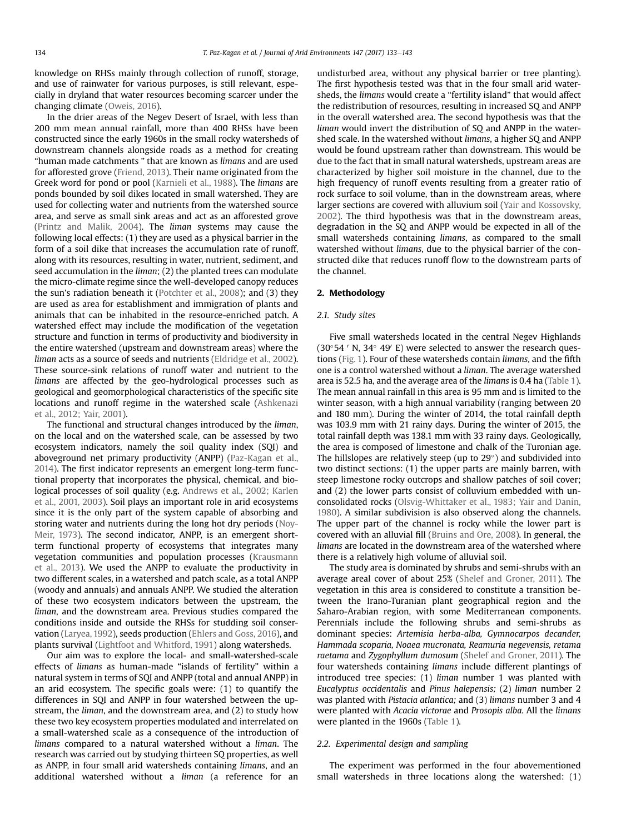knowledge on RHSs mainly through collection of runoff, storage, and use of rainwater for various purposes, is still relevant, especially in dryland that water resources becoming scarcer under the changing climate (Oweis, 2016).

In the drier areas of the Negev Desert of Israel, with less than 200 mm mean annual rainfall, more than 400 RHSs have been constructed since the early 1960s in the small rocky watersheds of downstream channels alongside roads as a method for creating "human made catchments " that are known as *limans* and are used for afforested grove (Friend, 2013). Their name originated from the Greek word for pond or pool (Karnieli et al., 1988). The *limans* are ponds bounded by soil dikes located in small watershed. They are used for collecting water and nutrients from the watershed source area, and serve as small sink areas and act as an afforested grove (Printz and Malik, 2004). The *liman* systems may cause the following local effects: (1) they are used as a physical barrier in the form of a soil dike that increases the accumulation rate of runoff, along with its resources, resulting in water, nutrient, sediment, and seed accumulation in the *liman*; (2) the planted trees can modulate the micro-climate regime since the well-developed canopy reduces the sun's radiation beneath it (Potchter et al., 2008); and (3) they are used as area for establishment and immigration of plants and animals that can be inhabited in the resource-enriched patch. A watershed effect may include the modification of the vegetation structure and function in terms of productivity and biodiversity in the entire watershed (upstream and downstream areas) where the *liman* acts as a source of seeds and nutrients (Eldridge et al., 2002). These source-sink relations of runoff water and nutrient to the *limans* are affected by the geo-hydrological processes such as geological and geomorphological characteristics of the specific site locations and runoff regime in the watershed scale (Ashkenazi et al., 2012; Yair, 2001).

The functional and structural changes introduced by the *liman*, on the local and on the watershed scale, can be assessed by two ecosystem indicators, namely the soil quality index (SQI) and aboveground net primary productivity (ANPP) (Paz-Kagan et al., 2014). The first indicator represents an emergent long-term functional property that incorporates the physical, chemical, and biological processes of soil quality (e.g. Andrews et al., 2002; Karlen et al., 2001, 2003). Soil plays an important role in arid ecosystems since it is the only part of the system capable of absorbing and storing water and nutrients during the long hot dry periods (Noy-Meir, 1973). The second indicator, ANPP, is an emergent shortterm functional property of ecosystems that integrates many vegetation communities and population processes (Krausmann et al., 2013). We used the ANPP to evaluate the productivity in two different scales, in a watershed and patch scale, as a total ANPP (woody and annuals) and annuals ANPP. We studied the alteration of these two ecosystem indicators between the upstream, the *liman*, and the downstream area. Previous studies compared the conditions inside and outside the RHSs for studding soil conservation (Laryea, 1992), seeds production (Ehlers and Goss, 2016), and plants survival (Lightfoot and Whitford, 1991) along watersheds.

Our aim was to explore the local- and small-watershed-scale effects of *limans* as human-made "islands of fertility" within a natural system in terms of SQI and ANPP (total and annual ANPP) in an arid ecosystem. The specific goals were: (1) to quantify the differences in SQI and ANPP in four watershed between the upstream, the *liman*, and the downstream area, and (2) to study how these two key ecosystem properties modulated and interrelated on a small-watershed scale as a consequence of the introduction of *limans* compared to a natural watershed without a *liman*. The research was carried out by studying thirteen SQ properties, as well as ANPP, in four small arid watersheds containing *limans*, and an additional watershed without a *liman* (a reference for an

undisturbed area, without any physical barrier or tree planting). The first hypothesis tested was that in the four small arid watersheds, the *limans* would create a "fertility island" that would affect the redistribution of resources, resulting in increased SQ and ANPP in the overall watershed area. The second hypothesis was that the *liman* would invert the distribution of SQ and ANPP in the watershed scale. In the watershed without *limans*, a higher SQ and ANPP would be found upstream rather than downstream. This would be due to the fact that in small natural watersheds, upstream areas are characterized by higher soil moisture in the channel, due to the high frequency of runoff events resulting from a greater ratio of rock surface to soil volume, than in the downstream areas, where larger sections are covered with alluvium soil (Yair and Kossovsky, 2002). The third hypothesis was that in the downstream areas, degradation in the SQ and ANPP would be expected in all of the small watersheds containing *limans*, as compared to the small watershed without *limans*, due to the physical barrier of the constructed dike that reduces runoff flow to the downstream parts of the channel.

### 2. Methodology

#### *2.1. Study sites*

Five small watersheds located in the central Negev Highlands  $(30°54' N, 34° 49' E)$  were selected to answer the research questions (Fig. 1). Four of these watersheds contain *limans*, and the fifth one is a control watershed without a *liman*. The average watershed area is 52.5 ha, and the average area of the *limans* is 0.4 ha (Table 1). The mean annual rainfall in this area is 95 mm and is limited to the winter season, with a high annual variability (ranging between 20 and 180 mm). During the winter of 2014, the total rainfall depth was 103.9 mm with 21 rainy days. During the winter of 2015, the total rainfall depth was 138.1 mm with 33 rainy days. Geologically, the area is composed of limestone and chalk of the Turonian age. The hillslopes are relatively steep (up to  $29^{\circ}$ ) and subdivided into two distinct sections: (1) the upper parts are mainly barren, with steep limestone rocky outcrops and shallow patches of soil cover; and (2) the lower parts consist of colluvium embedded with unconsolidated rocks (Olsvig-Whittaker et al., 1983; Yair and Danin, 1980). A similar subdivision is also observed along the channels. The upper part of the channel is rocky while the lower part is covered with an alluvial fill (Bruins and Ore, 2008). In general, the *limans* are located in the downstream area of the watershed where there is a relatively high volume of alluvial soil.

The study area is dominated by shrubs and semi-shrubs with an average areal cover of about 25% (Shelef and Groner, 2011). The vegetation in this area is considered to constitute a transition between the Irano-Turanian plant geographical region and the Saharo-Arabian region, with some Mediterranean components. Perennials include the following shrubs and semi-shrubs as dominant species: *Artemisia herba-alba, Gymnocarpos decander, Hammada scoparia, Noaea mucronata, Reamuria negevensis, retama raetama* and *Zygophyllum dumosum* (Shelef and Groner, 2011). The four watersheds containing *limans* include different plantings of introduced tree species: (1) *liman* number 1 was planted with *Eucalyptus occidentalis* and *Pinus halepensis;* (2) *liman* number 2 was planted with *Pistacia atlantica;* and (3) *limans* number 3 and 4 were planted with *Acacia victorae* and *Prosopis alba.* All the *limans* were planted in the 1960s (Table 1).

# *2.2. Experimental design and sampling*

The experiment was performed in the four abovementioned small watersheds in three locations along the watershed: (1)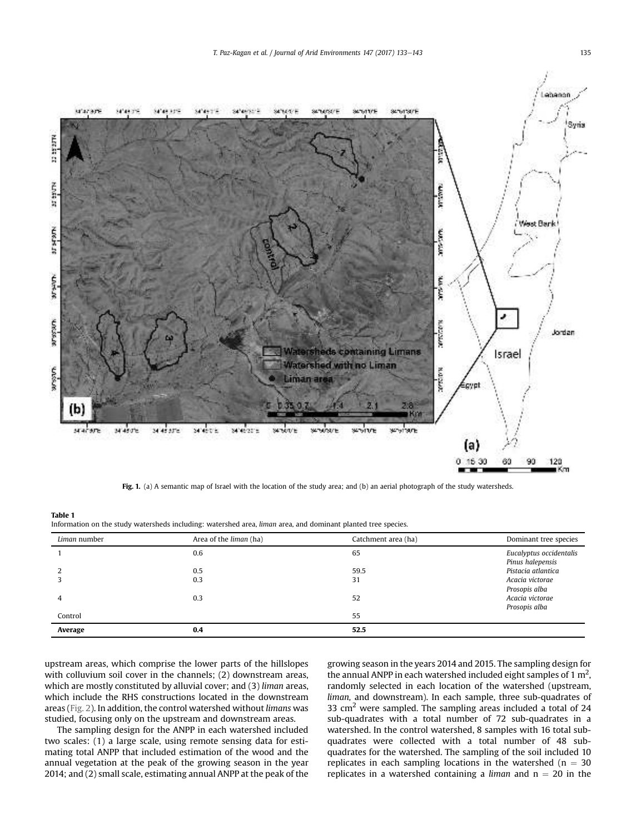

Fig. 1. (a) A semantic map of Israel with the location of the study area; and (b) an aerial photograph of the study watersheds.

| Table 1                                                                                                              |  |
|----------------------------------------------------------------------------------------------------------------------|--|
| Information on the study watersheds including: watershed area, <i>liman</i> area, and dominant planted tree species. |  |

| Liman number | Area of the <i>liman</i> (ha) | Catchment area (ha) | Dominant tree species                             |
|--------------|-------------------------------|---------------------|---------------------------------------------------|
|              | 0.6                           | 65                  | Eucalyptus occidentalis<br>Pinus halepensis       |
|              | 0.5                           | 59.5                | Pistacia atlantica                                |
|              | 0.3                           | 31                  | Acacia victorae                                   |
|              | 0.3                           | 52                  | Prosopis alba<br>Acacia victorae<br>Prosopis alba |
| Control      |                               | 55                  |                                                   |
| Average      | 0.4                           | 52.5                |                                                   |

upstream areas, which comprise the lower parts of the hillslopes with colluvium soil cover in the channels; (2) downstream areas, which are mostly constituted by alluvial cover; and (3) *liman* areas, which include the RHS constructions located in the downstream areas (Fig. 2). In addition, the control watershed without *limans* was studied, focusing only on the upstream and downstream areas.

The sampling design for the ANPP in each watershed included two scales: (1) a large scale, using remote sensing data for estimating total ANPP that included estimation of the wood and the annual vegetation at the peak of the growing season in the year 2014; and (2) small scale, estimating annual ANPP at the peak of the growing season in the years 2014 and 2015. The sampling design for the annual ANPP in each watershed included eight samples of 1  $\mathrm{m}^2_\mathrm{a}$ randomly selected in each location of the watershed (upstream, *liman,* and downstream). In each sample, three sub-quadrates of 33  $\text{cm}^2$  were sampled. The sampling areas included a total of 24 sub-quadrates with a total number of 72 sub-quadrates in a watershed. In the control watershed, 8 samples with 16 total subquadrates were collected with a total number of 48 subquadrates for the watershed. The sampling of the soil included 10 replicates in each sampling locations in the watershed ( $n = 30$ replicates in a watershed containing a *liman* and  $n = 20$  in the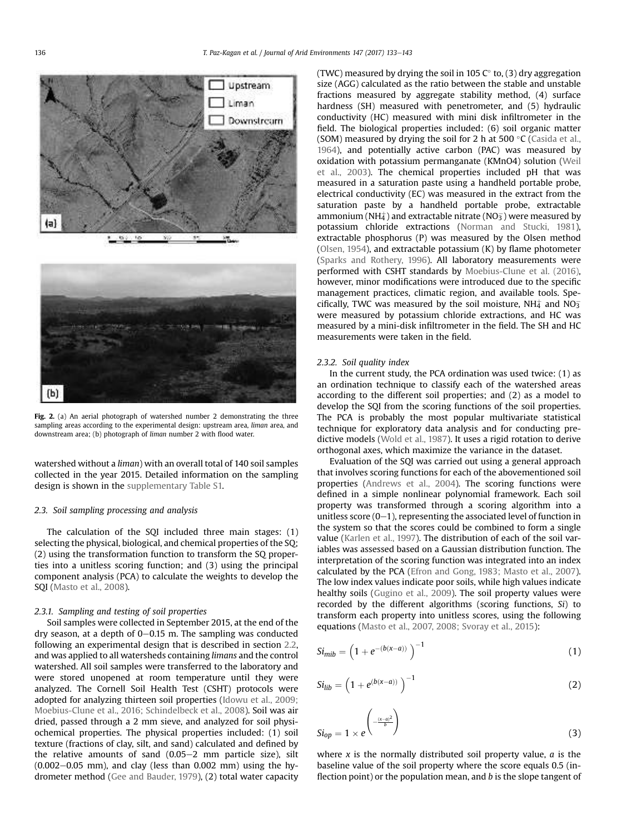



Fig. 2. (a) An aerial photograph of watershed number 2 demonstrating the three sampling areas according to the experimental design: upstream area, *liman* area, and downstream area; (b) photograph of *liman* number 2 with flood water.

watershed without a *liman*) with an overall total of 140 soil samples collected in the year 2015. Detailed information on the sampling design is shown in the supplementary Table S1.

# *2.3. Soil sampling processing and analysis*

The calculation of the SQI included three main stages: (1) selecting the physical, biological, and chemical properties of the SQ; (2) using the transformation function to transform the SQ properties into a unitless scoring function; and (3) using the principal component analysis (PCA) to calculate the weights to develop the SQI (Masto et al., 2008).

## *2.3.1. Sampling and testing of soil properties*

Soil samples were collected in September 2015, at the end of the dry season, at a depth of  $0-0.15$  m. The sampling was conducted following an experimental design that is described in section 2.2, and was applied to all watersheds containing *limans* and the control watershed. All soil samples were transferred to the laboratory and were stored unopened at room temperature until they were analyzed. The Cornell Soil Health Test (CSHT) protocols were adopted for analyzing thirteen soil properties (Idowu et al., 2009; Moebius-Clune et al., 2016; Schindelbeck et al., 2008). Soil was air dried, passed through a 2 mm sieve, and analyzed for soil physiochemical properties. The physical properties included: (1) soil texture (fractions of clay, silt, and sand) calculated and defined by the relative amounts of sand  $(0.05-2$  mm particle size), silt  $(0.002-0.05$  mm), and clay (less than 0.002 mm) using the hydrometer method (Gee and Bauder, 1979), (2) total water capacity (TWC) measured by drying the soil in 105  $C^{\circ}$  to, (3) dry aggregation size (AGG) calculated as the ratio between the stable and unstable fractions measured by aggregate stability method, (4) surface hardness (SH) measured with penetrometer, and (5) hydraulic conductivity (HC) measured with mini disk infiltrometer in the field. The biological properties included: (6) soil organic matter (SOM) measured by drying the soil for 2 h at 500  $\degree$ C (Casida et al., 1964), and potentially active carbon (PAC) was measured by oxidation with potassium permanganate (KMnO4) solution (Weil et al., 2003). The chemical properties included pH that was measured in a saturation paste using a handheld portable probe, electrical conductivity (EC) was measured in the extract from the saturation paste by a handheld portable probe, extractable ammonium (NH $_4^+$ ) and extractable nitrate (NO $_3^-$ ) were measured by potassium chloride extractions (Norman and Stucki, 1981), extractable phosphorus (P) was measured by the Olsen method (Olsen, 1954), and extractable potassium (K) by flame photometer (Sparks and Rothery, 1996). All laboratory measurements were performed with CSHT standards by Moebius-Clune et al. (2016), however, minor modifications were introduced due to the specific management practices, climatic region, and available tools. Specifically, TWC was measured by the soil moisture, NH $_4^+$  and NO<sub>3</sub> were measured by potassium chloride extractions, and HC was measured by a mini-disk infiltrometer in the field. The SH and HC measurements were taken in the field.

#### *2.3.2. Soil quality index*

In the current study, the PCA ordination was used twice: (1) as an ordination technique to classify each of the watershed areas according to the different soil properties; and (2) as a model to develop the SQI from the scoring functions of the soil properties. The PCA is probably the most popular multivariate statistical technique for exploratory data analysis and for conducting predictive models (Wold et al., 1987). It uses a rigid rotation to derive orthogonal axes, which maximize the variance in the dataset.

Evaluation of the SQI was carried out using a general approach that involves scoring functions for each of the abovementioned soil properties (Andrews et al., 2004). The scoring functions were defined in a simple nonlinear polynomial framework. Each soil property was transformed through a scoring algorithm into a unitless score  $(0-1)$ , representing the associated level of function in the system so that the scores could be combined to form a single value (Karlen et al., 1997). The distribution of each of the soil variables was assessed based on a Gaussian distribution function. The interpretation of the scoring function was integrated into an index calculated by the PCA (Efron and Gong, 1983; Masto et al., 2007). The low index values indicate poor soils, while high values indicate healthy soils (Gugino et al., 2009). The soil property values were recorded by the different algorithms (scoring functions, *Si*) to transform each property into unitless scores, using the following equations (Masto et al., 2007, 2008; Svoray et al., 2015):

$$
Si_{mib} = \left(1 + e^{-(b(x-a))}\right)^{-1}
$$
 (1)

$$
Si_{lib} = \left(1 + e^{(b(x-a))}\right)^{-1}
$$
 (2)

$$
Si_{op} = 1 \times e^{\left(-\frac{(x-a)^2}{b}\right)}
$$
\n(3)

where *x* is the normally distributed soil property value, *a* is the baseline value of the soil property where the score equals 0.5 (inflection point) or the population mean, and *b* is the slope tangent of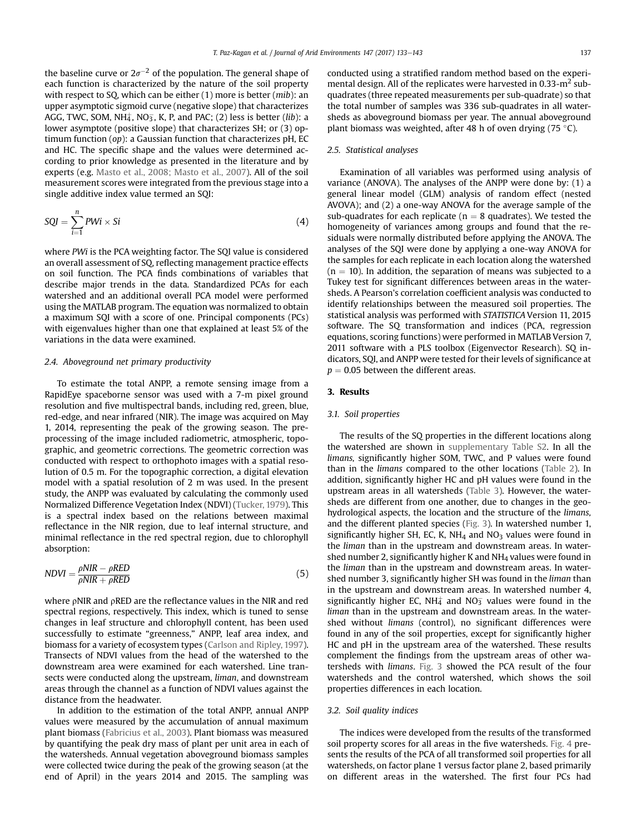the baseline curve or 2 $\sigma^{-2}$  of the population. The general shape of each function is characterized by the nature of the soil property with respect to SQ, which can be either (1) more is better (*mib*): an upper asymptotic sigmoid curve (negative slope) that characterizes AGG, TWC, SOM, NH $_4^+$ , NO<sub>3</sub>, K, P, and PAC; (2) less is better (*lib*): a lower asymptote (positive slope) that characterizes SH; or (3) optimum function (*op*): a Gaussian function that characterizes pH, EC and HC. The specific shape and the values were determined according to prior knowledge as presented in the literature and by experts (e.g. Masto et al., 2008; Masto et al., 2007). All of the soil measurement scores were integrated from the previous stage into a single additive index value termed an SQI:

$$
SQL = \sum_{i=1}^{n} PWi \times Si \tag{4}
$$

where *PWi* is the PCA weighting factor. The SQI value is considered an overall assessment of SQ, reflecting management practice effects on soil function. The PCA finds combinations of variables that describe major trends in the data. Standardized PCAs for each watershed and an additional overall PCA model were performed using the MATLAB program. The equation was normalized to obtain a maximum SQI with a score of one. Principal components (PCs) with eigenvalues higher than one that explained at least 5% of the variations in the data were examined.

# *2.4. Aboveground net primary productivity*

To estimate the total ANPP, a remote sensing image from a RapidEye spaceborne sensor was used with a 7-m pixel ground resolution and five multispectral bands, including red, green, blue, red-edge, and near infrared (NIR). The image was acquired on May 1, 2014, representing the peak of the growing season. The preprocessing of the image included radiometric, atmospheric, topographic, and geometric corrections. The geometric correction was conducted with respect to orthophoto images with a spatial resolution of 0.5 m. For the topographic correction, a digital elevation model with a spatial resolution of 2 m was used. In the present study, the ANPP was evaluated by calculating the commonly used Normalized Difference Vegetation Index (NDVI) (Tucker, 1979). This is a spectral index based on the relations between maximal reflectance in the NIR region, due to leaf internal structure, and minimal reflectance in the red spectral region, due to chlorophyll absorption:

$$
NDVI = \frac{\rho NIR - \rho RED}{\rho NIR + \rho RED}
$$
\n(5)

where  $\rho$ NIR and  $\rho$ RED are the reflectance values in the NIR and red spectral regions, respectively. This index, which is tuned to sense changes in leaf structure and chlorophyll content, has been used successfully to estimate "greenness," ANPP, leaf area index, and biomass for a variety of ecosystem types (Carlson and Ripley, 1997). Transects of NDVI values from the head of the watershed to the downstream area were examined for each watershed. Line transects were conducted along the upstream, *liman*, and downstream areas through the channel as a function of NDVI values against the distance from the headwater.

In addition to the estimation of the total ANPP, annual ANPP values were measured by the accumulation of annual maximum plant biomass (Fabricius et al., 2003). Plant biomass was measured by quantifying the peak dry mass of plant per unit area in each of the watersheds. Annual vegetation aboveground biomass samples were collected twice during the peak of the growing season (at the end of April) in the years 2014 and 2015. The sampling was

conducted using a stratified random method based on the experimental design. All of the replicates were harvested in 0.33-m<sup>2</sup> subquadrates (three repeated measurements per sub-quadrate) so that the total number of samples was 336 sub-quadrates in all watersheds as aboveground biomass per year. The annual aboveground plant biomass was weighted, after 48 h of oven drying  $(75 \degree C)$ .

# *2.5. Statistical analyses*

Examination of all variables was performed using analysis of variance (ANOVA). The analyses of the ANPP were done by: (1) a general linear model (GLM) analysis of random effect (nested AVOVA); and (2) a one-way ANOVA for the average sample of the sub-quadrates for each replicate ( $n = 8$  quadrates). We tested the homogeneity of variances among groups and found that the residuals were normally distributed before applying the ANOVA. The analyses of the SQI were done by applying a one-way ANOVA for the samples for each replicate in each location along the watershed  $(n = 10)$ . In addition, the separation of means was subjected to a Tukey test for significant differences between areas in the watersheds. A Pearson's correlation coefficient analysis was conducted to identify relationships between the measured soil properties. The statistical analysis was performed with *STATISTICA* Version 11, 2015 software. The SQ transformation and indices (PCA, regression equations, scoring functions) were performed in MATLAB Version 7, 2011 software with a PLS toolbox (Eigenvector Research). SQ indicators, SQI, and ANPP were tested for their levels of significance at  $p = 0.05$  between the different areas.

# 3. Results

# *3.1. Soil properties*

The results of the SQ properties in the different locations along the watershed are shown in supplementary Table S2. In all the *limans,* significantly higher SOM, TWC, and P values were found than in the *limans* compared to the other locations (Table 2). In addition, significantly higher HC and pH values were found in the upstream areas in all watersheds (Table 3). However, the watersheds are different from one another, due to changes in the geohydrological aspects, the location and the structure of the *limans,* and the different planted species (Fig. 3). In watershed number 1, significantly higher SH, EC, K, NH<sub>4</sub> and NO<sub>3</sub> values were found in the *liman* than in the upstream and downstream areas. In watershed number 2, significantly higher K and  $NH<sub>4</sub>$  values were found in the *liman* than in the upstream and downstream areas. In watershed number 3, significantly higher SH was found in the *liman* than in the upstream and downstream areas. In watershed number 4, significantly higher EC, NH $_4^+$  and NO<sub>3</sub> values were found in the *liman* than in the upstream and downstream areas. In the watershed without *limans* (control), no significant differences were found in any of the soil properties, except for significantly higher HC and pH in the upstream area of the watershed. These results complement the findings from the upstream areas of other watersheds with *limans*. Fig. 3 showed the PCA result of the four watersheds and the control watershed, which shows the soil properties differences in each location.

#### *3.2. Soil quality indices*

The indices were developed from the results of the transformed soil property scores for all areas in the five watersheds. Fig. 4 presents the results of the PCA of all transformed soil properties for all watersheds, on factor plane 1 versus factor plane 2, based primarily on different areas in the watershed. The first four PCs had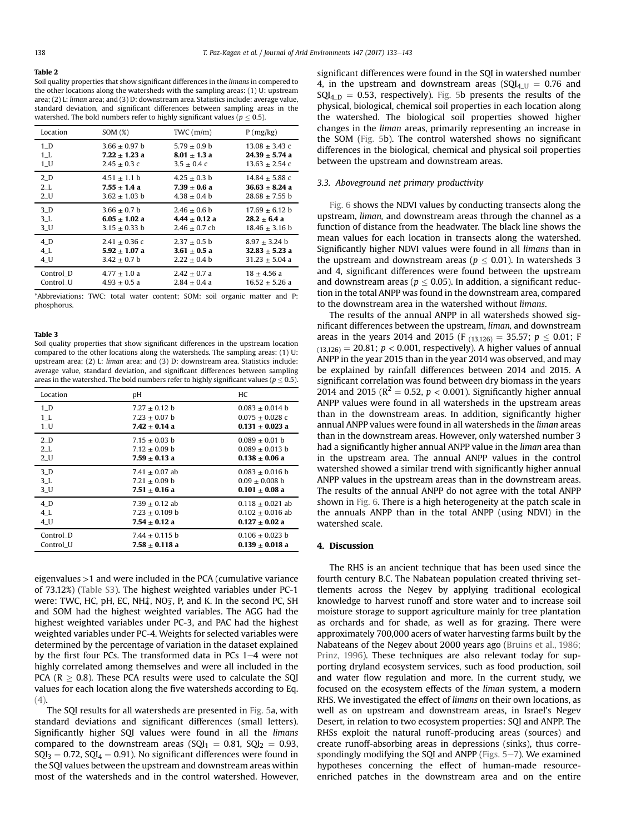#### Table 2

Soil quality properties that show significant differences in the *limans* in compered to the other locations along the watersheds with the sampling areas: (1) U: upstream area; (2) L: *liman* area; and (3) D: downstream area. Statistics include: average value, standard deviation, and significant differences between sampling areas in the watershed. The bold numbers refer to highly significant values ( $p \leq 0.5$ ).

| Location         | SOM(%)            | TWC $(m/m)$      | P(mg/kg)           |
|------------------|-------------------|------------------|--------------------|
| $1_D$            | $3.66 + 0.97$ b   | $5.79 + 0.9 b$   | $13.08 \pm 3.43$ c |
| $1_L$            | $7.22 + 1.23$ a   | $8.01 + 1.3 a$   | $24.39 + 5.74$ a   |
| $1\_U$           | $2.45 + 0.3c$     | $3.5 + 0.4c$     | $13.63 + 2.54c$    |
| $2_D$            | $4.51 \pm 1.1$ b  | $4.25 + 0.3$ b   | $14.84 \pm 5.88$ c |
| $2_L$            | $7.55 + 1.4a$     | $7.39 + 0.6 a$   | $36.63 + 8.24 a$   |
| $2_U$            | $3.62 + 1.03$ b   | $4.38 + 0.4 b$   | $28.68 + 7.55$ b   |
| 3 D              | $3.66 + 0.7 b$    | $2.46 + 0.6 b$   | $17.69 \pm 6.12$ b |
| 3 L              | $6.05 + 1.02 a$   | $4.44 + 0.12 a$  | $28.2 + 6.4 a$     |
| 3 U              | $3.15 + 0.33$ b   | $2.46 + 0.7$ cb  | $18.46 + 3.16$ b   |
| $4$ <sub>D</sub> | $2.41 \pm 0.36$ c | $2.37 \pm 0.5$ b | $8.97 \pm 3.24$ b  |
| 4L               | $5.92 \pm 1.07$ a | $3.61 \pm 0.5$ a | $32.83 \pm 5.23$ a |
| $4_U$            | $3.42 \pm 0.7$ b  | $2.22 \pm 0.4$ b | $31.23 + 5.04$ a   |
| Control D        | $4.77 \pm 1.0$ a  | $2.42 \pm 0.7$ a | $18 \pm 4.56$ a    |
| Control U        | $4.93 + 0.5 a$    | $2.84 + 0.4 a$   | $16.52 + 5.26$ a   |

\*Abbreviations: TWC: total water content; SOM: soil organic matter and P: phosphorus.

#### Table 3

Soil quality properties that show significant differences in the upstream location compared to the other locations along the watersheds. The sampling areas: (1) U: upstream area; (2) L: *liman* area; and (3) D: downstream area. Statistics include: average value, standard deviation, and significant differences between sampling areas in the watershed. The bold numbers refer to highly significant values ( $p \leq 0.5$ ).

| Location  | рH                 | HС                  |
|-----------|--------------------|---------------------|
| 1 D       | $7.27 + 0.12$ b    | $0.083 + 0.014$ b   |
| 1 L       | $7.23 + 0.07$ b    | $0.075 + 0.028$ c   |
| $1_U$     | $7.42 + 0.14$ a    | $0.131 + 0.023$ a   |
| 2 D       | $7.15 + 0.03$ b    | $0.089 + 0.01$ b    |
| 2 L       | $7.12 + 0.09$ b    | $0.089 + 0.013$ b   |
| $2_U$     | $7.59 + 0.13$ a    | $0.138 + 0.06 a$    |
| 3 D       | $7.41 + 0.07$ ab   | $0.083 + 0.016$ b   |
| $3_L$     | $7.21 + 0.09$ b    | $0.09 + 0.008$ b    |
| 3 U       | $7.51 + 0.16$ a    | $0.101 + 0.08$ a    |
| $4_D$     | $7.39 + 0.12$ ab   | $0.118 + 0.021$ ab  |
| 4 L       | $7.23 + 0.109$ b   | $0.102 + 0.016$ ab  |
| 4 U       | $7.54 + 0.12$ a    | $0.127 + 0.02$ a    |
| Control D | 7.44 $\pm$ 0.115 b | $0.106 \pm 0.023$ b |
| Control U | $7.58 + 0.118$ a   | $0.139 + 0.018$ a   |

eigenvalues >1 and were included in the PCA (cumulative variance of 73.12%) (Table S3). The highest weighted variables under PC-1 were: TWC, HC, pH, EC, NH $_4^+$ , NO $_3^-$ , P, and K. In the second PC, SH and SOM had the highest weighted variables. The AGG had the highest weighted variables under PC-3, and PAC had the highest weighted variables under PC-4. Weights for selected variables were determined by the percentage of variation in the dataset explained by the first four PCs. The transformed data in PCs  $1-4$  were not highly correlated among themselves and were all included in the PCA ( $R \geq 0.8$ ). These PCA results were used to calculate the SQI values for each location along the five watersheds according to Eq.  $(4)$ .

The SQI results for all watersheds are presented in Fig. 5a, with standard deviations and significant differences (small letters). Significantly higher SQI values were found in all the *limans* compared to the downstream areas (SQI<sub>1</sub> = 0.81, SQI<sub>2</sub> = 0.93,  $SQI_3 = 0.72$ ,  $SQI_4 = 0.91$ ). No significant differences were found in the SQI values between the upstream and downstream areas within most of the watersheds and in the control watershed. However, significant differences were found in the SQI in watershed number 4, in the upstream and downstream areas (SQI<sub>4 U</sub> = 0.76 and SQI<sub>4</sub>  $_D$  = 0.53, respectively). Fig. 5b presents the results of the physical, biological, chemical soil properties in each location along the watershed. The biological soil properties showed higher changes in the *liman* areas, primarily representing an increase in the SOM (Fig. 5b). The control watershed shows no significant differences in the biological, chemical and physical soil properties between the upstream and downstream areas.

# *3.3. Aboveground net primary productivity*

Fig. 6 shows the NDVI values by conducting transects along the upstream, *liman,* and downstream areas through the channel as a function of distance from the headwater. The black line shows the mean values for each location in transects along the watershed. Significantly higher NDVI values were found in all *limans* than in the upstream and downstream areas ( $p \leq 0.01$ ). In watersheds 3 and 4, significant differences were found between the upstream and downstream areas ( $p \leq 0.05$ ). In addition, a significant reduction in the total ANPP was found in the downstream area, compared to the downstream area in the watershed without *limans*.

The results of the annual ANPP in all watersheds showed significant differences between the upstream, *liman,* and downstream areas in the years 2014 and 2015 (F  $_{(13,126)} = 35.57$ ;  $p \le 0.01$ ; F  $(13,126) = 20.81$ ;  $p < 0.001$ , respectively). A higher values of annual ANPP in the year 2015 than in the year 2014 was observed, and may be explained by rainfall differences between 2014 and 2015. A significant correlation was found between dry biomass in the years 2014 and 2015 ( $R^2 = 0.52$ ,  $p < 0.001$ ). Significantly higher annual ANPP values were found in all watersheds in the upstream areas than in the downstream areas. In addition, significantly higher annual ANPP values were found in all watersheds in the *liman* areas than in the downstream areas. However, only watershed number 3 had a significantly higher annual ANPP value in the *liman* area than in the upstream area. The annual ANPP values in the control watershed showed a similar trend with significantly higher annual ANPP values in the upstream areas than in the downstream areas. The results of the annual ANPP do not agree with the total ANPP shown in Fig. 6. There is a high heterogeneity at the patch scale in the annuals ANPP than in the total ANPP (using NDVI) in the watershed scale.

# 4. Discussion

The RHS is an ancient technique that has been used since the fourth century B.C. The Nabatean population created thriving settlements across the Negev by applying traditional ecological knowledge to harvest runoff and store water and to increase soil moisture storage to support agriculture mainly for tree plantation as orchards and for shade, as well as for grazing. There were approximately 700,000 acers of water harvesting farms built by the Nabateans of the Negev about 2000 years ago (Bruins et al., 1986; Prinz, 1996). These techniques are also relevant today for supporting dryland ecosystem services, such as food production, soil and water flow regulation and more. In the current study, we focused on the ecosystem effects of the *liman* system, a modern RHS. We investigated the effect of *limans* on their own locations, as well as on upstream and downstream areas, in Israel's Negev Desert, in relation to two ecosystem properties: SQI and ANPP. The RHSs exploit the natural runoff-producing areas (sources) and create runoff-absorbing areas in depressions (sinks), thus correspondingly modifying the SQI and ANPP (Figs.  $5-7$ ). We examined hypotheses concerning the effect of human-made resourceenriched patches in the downstream area and on the entire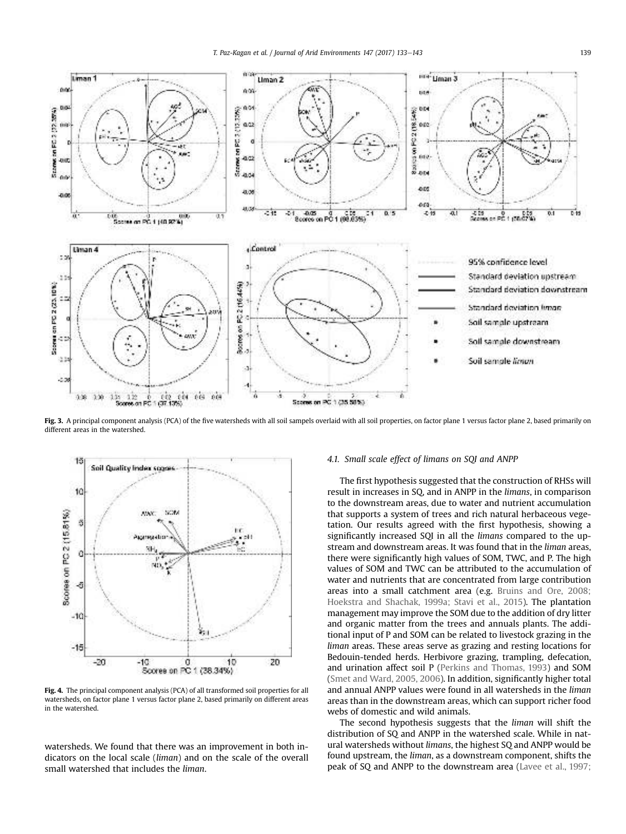

Fig. 3. A principal component analysis (PCA) of the five watersheds with all soil sampels overlaid with all soil properties, on factor plane 1 versus factor plane 2, based primarily on different areas in the watershed.



Fig. 4. The principal component analysis (PCA) of all transformed soil properties for all watersheds, on factor plane 1 versus factor plane 2, based primarily on different areas in the watershed.

watersheds. We found that there was an improvement in both indicators on the local scale (*liman*) and on the scale of the overall small watershed that includes the *liman*.

# *4.1. Small scale effect of limans on SQI and ANPP*

The first hypothesis suggested that the construction of RHSs will result in increases in SQ, and in ANPP in the *limans*, in comparison to the downstream areas, due to water and nutrient accumulation that supports a system of trees and rich natural herbaceous vegetation. Our results agreed with the first hypothesis, showing a significantly increased SQI in all the *limans* compared to the upstream and downstream areas. It was found that in the *liman* areas, there were significantly high values of SOM, TWC, and P. The high values of SOM and TWC can be attributed to the accumulation of water and nutrients that are concentrated from large contribution areas into a small catchment area (e.g. Bruins and Ore, 2008; Hoekstra and Shachak, 1999a; Stavi et al., 2015). The plantation management may improve the SOM due to the addition of dry litter and organic matter from the trees and annuals plants. The additional input of P and SOM can be related to livestock grazing in the *liman* areas. These areas serve as grazing and resting locations for Bedouin-tended herds. Herbivore grazing, trampling, defecation, and urination affect soil P (Perkins and Thomas, 1993) and SOM (Smet and Ward, 2005, 2006). In addition, significantly higher total and annual ANPP values were found in all watersheds in the *liman* areas than in the downstream areas, which can support richer food webs of domestic and wild animals.

The second hypothesis suggests that the *liman* will shift the distribution of SQ and ANPP in the watershed scale. While in natural watersheds without *limans*, the highest SQ and ANPP would be found upstream, the *liman*, as a downstream component, shifts the peak of SQ and ANPP to the downstream area (Lavee et al., 1997;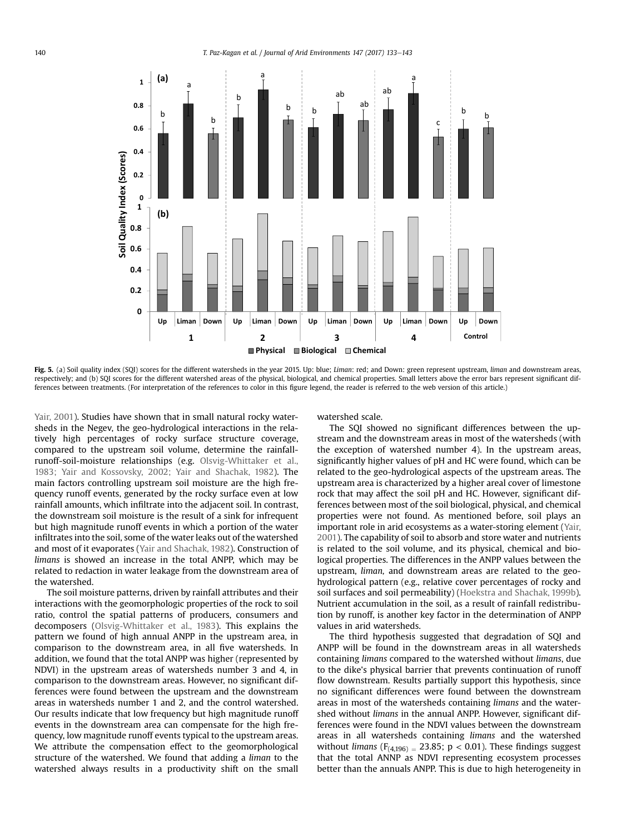

Fig. 5. (a) Soil quality index (SQI) scores for the different watersheds in the year 2015. Up: blue; *Liman*: red; and Down: green represent upstream, *liman* and downstream areas, respectively; and (b) SQI scores for the different watershed areas of the physical, biological, and chemical properties. Small letters above the error bars represent significant differences between treatments. (For interpretation of the references to color in this figure legend, the reader is referred to the web version of this article.)

Yair, 2001). Studies have shown that in small natural rocky watersheds in the Negev, the geo-hydrological interactions in the relatively high percentages of rocky surface structure coverage, compared to the upstream soil volume, determine the rainfallrunoff-soil-moisture relationships (e.g. Olsvig-Whittaker et al., 1983; Yair and Kossovsky, 2002; Yair and Shachak, 1982). The main factors controlling upstream soil moisture are the high frequency runoff events, generated by the rocky surface even at low rainfall amounts, which infiltrate into the adjacent soil. In contrast, the downstream soil moisture is the result of a sink for infrequent but high magnitude runoff events in which a portion of the water infiltrates into the soil, some of the water leaks out of the watershed and most of it evaporates (Yair and Shachak, 1982). Construction of *limans* is showed an increase in the total ANPP, which may be related to redaction in water leakage from the downstream area of the watershed.

The soil moisture patterns, driven by rainfall attributes and their interactions with the geomorphologic properties of the rock to soil ratio, control the spatial patterns of producers, consumers and decomposers (Olsvig-Whittaker et al., 1983). This explains the pattern we found of high annual ANPP in the upstream area, in comparison to the downstream area, in all five watersheds. In addition, we found that the total ANPP was higher (represented by NDVI) in the upstream areas of watersheds number 3 and 4, in comparison to the downstream areas. However, no significant differences were found between the upstream and the downstream areas in watersheds number 1 and 2, and the control watershed. Our results indicate that low frequency but high magnitude runoff events in the downstream area can compensate for the high frequency, low magnitude runoff events typical to the upstream areas. We attribute the compensation effect to the geomorphological structure of the watershed. We found that adding a *liman* to the watershed always results in a productivity shift on the small watershed scale.

The SQI showed no significant differences between the upstream and the downstream areas in most of the watersheds (with the exception of watershed number 4). In the upstream areas, significantly higher values of pH and HC were found, which can be related to the geo-hydrological aspects of the upstream areas. The upstream area is characterized by a higher areal cover of limestone rock that may affect the soil pH and HC. However, significant differences between most of the soil biological, physical, and chemical properties were not found. As mentioned before, soil plays an important role in arid ecosystems as a water-storing element (Yair, 2001). The capability of soil to absorb and store water and nutrients is related to the soil volume, and its physical, chemical and biological properties. The differences in the ANPP values between the upstream, *liman,* and downstream areas are related to the geohydrological pattern (e.g., relative cover percentages of rocky and soil surfaces and soil permeability) (Hoekstra and Shachak, 1999b). Nutrient accumulation in the soil, as a result of rainfall redistribution by runoff, is another key factor in the determination of ANPP values in arid watersheds.

The third hypothesis suggested that degradation of SQI and ANPP will be found in the downstream areas in all watersheds containing *limans* compared to the watershed without *limans*, due to the dike's physical barrier that prevents continuation of runoff flow downstream. Results partially support this hypothesis, since no significant differences were found between the downstream areas in most of the watersheds containing *limans* and the watershed without *limans* in the annual ANPP. However, significant differences were found in the NDVI values between the downstream areas in all watersheds containing *limans* and the watershed without *limans*  $(F_{(4,196)} = 23.85; p < 0.01)$ . These findings suggest that the total ANNP as NDVI representing ecosystem processes better than the annuals ANPP. This is due to high heterogeneity in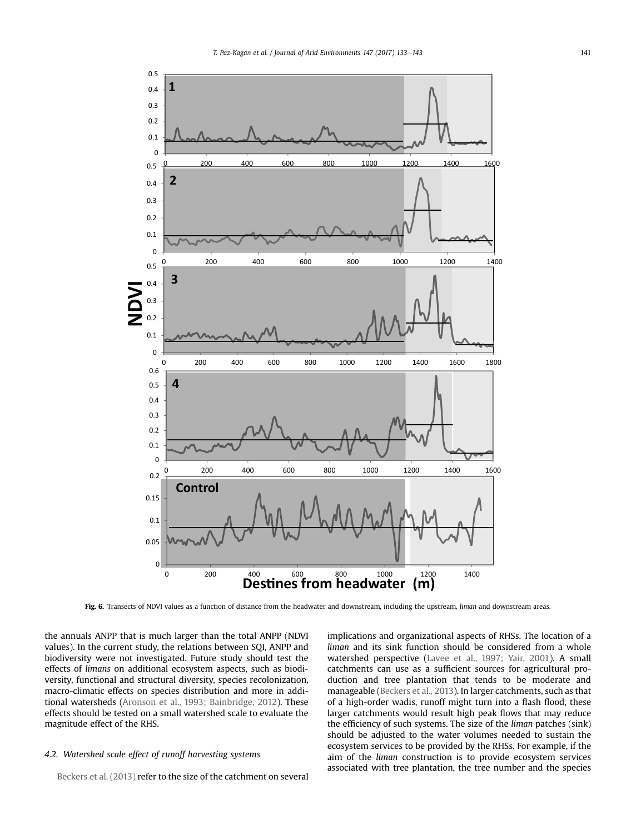

Fig. 6. Transects of NDVI values as a function of distance from the headwater and downstream, including the upstream, *liman* and downstream areas.

the annuals ANPP that is much larger than the total ANPP (NDVI values). In the current study, the relations between SQI, ANPP and biodiversity were not investigated. Future study should test the effects of *limans* on additional ecosystem aspects, such as biodiversity, functional and structural diversity, species recolonization, macro-climatic effects on species distribution and more in additional watersheds (Aronson et al., 1993; Bainbridge, 2012). These effects should be tested on a small watershed scale to evaluate the magnitude effect of the RHS.

# *4.2. Watershed scale effect of runoff harvesting systems*

Beckers et al. (2013) refer to the size of the catchment on several

implications and organizational aspects of RHSs. The location of a *liman* and its sink function should be considered from a whole watershed perspective (Lavee et al., 1997; Yair, 2001). A small catchments can use as a sufficient sources for agricultural production and tree plantation that tends to be moderate and manageable (Beckers et al., 2013). In larger catchments, such as that of a high-order wadis, runoff might turn into a flash flood, these larger catchments would result high peak flows that may reduce the efficiency of such systems. The size of the *liman* patches (sink) should be adjusted to the water volumes needed to sustain the ecosystem services to be provided by the RHSs. For example, if the aim of the *liman* construction is to provide ecosystem services associated with tree plantation, the tree number and the species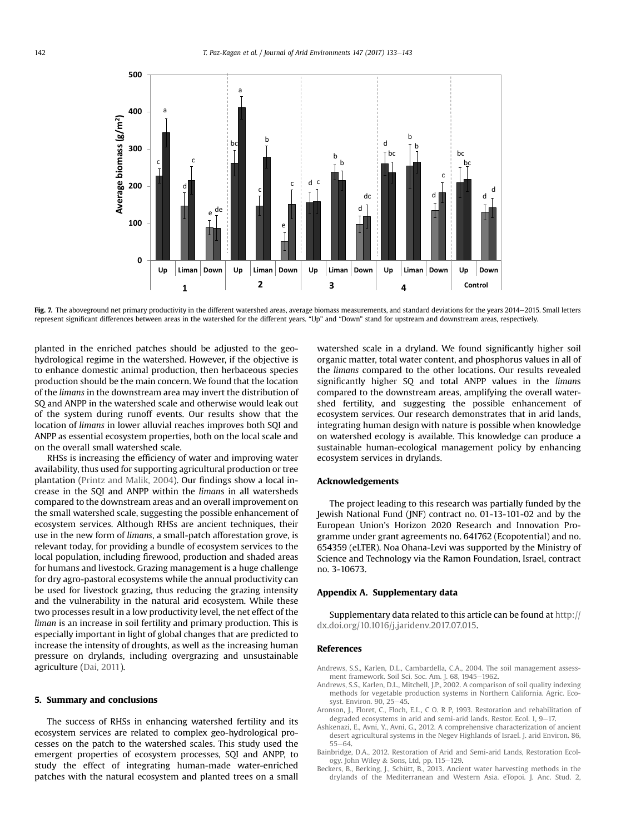

Fig. 7. The aboveground net primary productivity in the different watershed areas, average biomass measurements, and standard deviations for the years 2014-2015. Small letters represent significant differences between areas in the watershed for the different years. "Up" and "Down" stand for upstream and downstream areas, respectively.

planted in the enriched patches should be adjusted to the geohydrological regime in the watershed. However, if the objective is to enhance domestic animal production, then herbaceous species production should be the main concern. We found that the location of the *limans* in the downstream area may invert the distribution of SQ and ANPP in the watershed scale and otherwise would leak out of the system during runoff events. Our results show that the location of *limans* in lower alluvial reaches improves both SQI and ANPP as essential ecosystem properties, both on the local scale and on the overall small watershed scale.

RHSs is increasing the efficiency of water and improving water availability, thus used for supporting agricultural production or tree plantation (Printz and Malik, 2004). Our findings show a local increase in the SQI and ANPP within the *liman*s in all watersheds compared to the downstream areas and an overall improvement on the small watershed scale, suggesting the possible enhancement of ecosystem services. Although RHSs are ancient techniques, their use in the new form of *limans*, a small-patch afforestation grove, is relevant today, for providing a bundle of ecosystem services to the local population, including firewood, production and shaded areas for humans and livestock. Grazing management is a huge challenge for dry agro-pastoral ecosystems while the annual productivity can be used for livestock grazing, thus reducing the grazing intensity and the vulnerability in the natural arid ecosystem. While these two processes result in a low productivity level, the net effect of the *liman* is an increase in soil fertility and primary production. This is especially important in light of global changes that are predicted to increase the intensity of droughts, as well as the increasing human pressure on drylands, including overgrazing and unsustainable agriculture (Dai, 2011).

#### 5. Summary and conclusions

The success of RHSs in enhancing watershed fertility and its ecosystem services are related to complex geo-hydrological processes on the patch to the watershed scales. This study used the emergent properties of ecosystem processes, SQI and ANPP, to study the effect of integrating human-made water-enriched patches with the natural ecosystem and planted trees on a small watershed scale in a dryland. We found significantly higher soil organic matter, total water content, and phosphorus values in all of the *limans* compared to the other locations. Our results revealed significantly higher SQ and total ANPP values in the *liman*s compared to the downstream areas, amplifying the overall watershed fertility, and suggesting the possible enhancement of ecosystem services. Our research demonstrates that in arid lands, integrating human design with nature is possible when knowledge on watershed ecology is available. This knowledge can produce a sustainable human-ecological management policy by enhancing ecosystem services in drylands.

## Acknowledgements

The project leading to this research was partially funded by the Jewish National Fund (JNF) contract no. 01-13-101-02 and by the European Union's Horizon 2020 Research and Innovation Programme under grant agreements no. 641762 (Ecopotential) and no. 654359 (eLTER). Noa Ohana-Levi was supported by the Ministry of Science and Technology via the Ramon Foundation, Israel, contract no. 3-10673.

# Appendix A. Supplementary data

Supplementary data related to this article can be found at http:// dx.doi.org/10.1016/j.jaridenv.2017.07.015.

## References

- Andrews, S.S., Karlen, D.L., Cambardella, C.A., 2004. The soil management assessment framework. Soil Sci. Soc. Am. J. 68, 1945-1962.
- Andrews, S.S., Karlen, D.L., Mitchell, J.P., 2002. A comparison of soil quality indexing methods for vegetable production systems in Northern California. Agric. Ecosyst. Environ.  $90, 25-45$ .
- Aronson, J., Floret, C., Floch, E.L., C O. R P, 1993. Restoration and rehabilitation of degraded ecosystems in arid and semi-arid lands. Restor. Ecol. 1, 9-17.
- Ashkenazi, E., Avni, Y., Avni, G., 2012. A comprehensive characterization of ancient desert agricultural systems in the Negev Highlands of Israel. J. arid Environ. 86,  $55 - 64.$
- Bainbridge, D.A., 2012. Restoration of Arid and Semi-arid Lands, Restoration Ecology. John Wiley & Sons, Ltd, pp. 115-129.
- Beckers, B., Berking, J., Schütt, B., 2013. Ancient water harvesting methods in the drylands of the Mediterranean and Western Asia. eTopoi. J. Anc. Stud. 2,